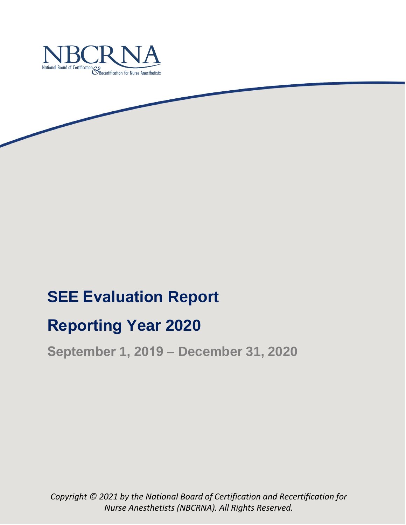

# **SEE Evaluation Report**

# **Reporting Year 2020**

**September 1, 2019 – December 31, 2020**

*Copyright © 2021 by the National Board of Certification and Recertification for Nurse Anesthetists (NBCRNA). All Rights Reserved.*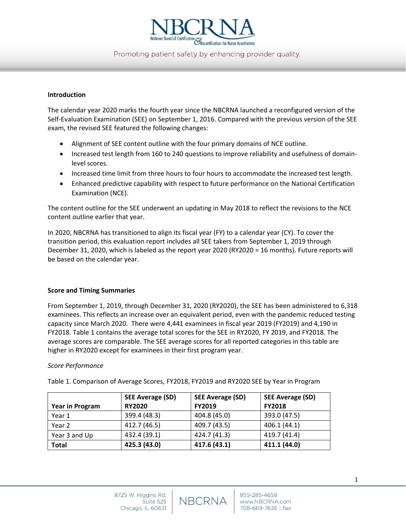

Promoting patient safety by enhancing provider quality.

#### **Introduction**

The calendar year 2020 marks the fourth year since the NBCRNA launched a reconfigured version of the Self-Evaluation Examination (SEE) on September 1, 2016. Compared with the previous version of the SEE exam, the revised SEE featured the following changes:

- Alignment of SEE content outline with the four primary domains of NCE outline.
- Increased test length from 160 to 240 questions to improve reliability and usefulness of domainlevel scores.
- Increased time limit from three hours to four hours to accommodate the increased test length.
- Enhanced predictive capability with respect to future performance on the National Certification Examination (NCE).

The content outline for the SEE underwent an updating in May 2018 to reflect the revisions to the NCE content outline earlier that year.

In 2020, NBCRNA has transitioned to align its fiscal year (FY) to a calendar year (CY). To cover the transition period, this evaluation report includes all SEE takers from September 1, 2019 through December 31, 2020, which is labeled as the report year 2020 (RY2020 = 16 months). Future reports will be based on the calendar year.

#### **Score and Timing Summaries**

From September 1, 2019, through December 31, 2020 (RY2020), the SEE has been administered to 6,318 examinees. This reflects an increase over an equivalent period, even with the pandemic reduced testing capacity since March 2020. There were 4,441 examinees in fiscal year 2019 (FY2019) and 4,190 in FY2018. Table 1 contains the average total scores for the SEE in RY2020, FY 2019, and FY2018. The average scores are comparable. The SEE average scores for all reported categories in this table are higher in RY2020 except for examinees in their first program year.

#### *Score Performance*

|                 | <b>SEE Average (SD)</b> | <b>SEE Average (SD)</b> | <b>SEE Average (SD)</b> |
|-----------------|-------------------------|-------------------------|-------------------------|
| Year in Program | <b>RY2020</b>           | <b>FY2019</b>           | <b>FY2018</b>           |
| Year 1          | 399.4 (48.3)            | 404.8 (45.0)            | 393.0 (47.5)            |
| Year 2          | 412.7 (46.5)            | 409.7 (43.5)            | 406.1 (44.1)            |
| Year 3 and Up   | 432.4 (39.1)            | 424.7 (41.3)            | 419.7 (41.4)            |
| <b>Total</b>    | 425.3 (43.0)            | 417.6 (43.1)            | 411.1 (44.0)            |

Table 1. Comparison of Average Scores, FY2018, FY2019 and RY2020 SEE by Year in Program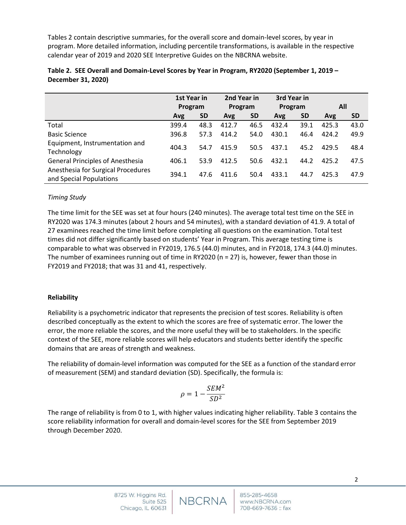Tables 2 contain descriptive summaries, for the overall score and domain-level scores, by year in program. More detailed information, including percentile transformations, is available in the respective calendar year of 2019 and 2020 SEE Interpretive Guides on the NBCRNA website.

|                                                               | 1st Year in<br>Program |           | 2nd Year in<br>Program |           | 3rd Year in<br>Program |           |       |           |
|---------------------------------------------------------------|------------------------|-----------|------------------------|-----------|------------------------|-----------|-------|-----------|
|                                                               |                        |           |                        |           |                        |           | All   |           |
|                                                               | Avg                    | <b>SD</b> | Avg                    | <b>SD</b> | Avg                    | <b>SD</b> | Avg   | <b>SD</b> |
| Total                                                         | 399.4                  | 48.3      | 412.7                  | 46.5      | 432.4                  | 39.1      | 425.3 | 43.0      |
| <b>Basic Science</b>                                          | 396.8                  | 57.3      | 414.2                  | 54.0      | 430.1                  | 46.4      | 424.2 | 49.9      |
| Equipment, Instrumentation and<br>Technology                  | 404.3                  | 54.7      | 415.9                  | 50.5      | 437.1                  | 45.2      | 429.5 | 48.4      |
| <b>General Principles of Anesthesia</b>                       | 406.1                  | 53.9      | 412.5                  | 50.6      | 432.1                  | 44.2      | 425.2 | 47.5      |
| Anesthesia for Surgical Procedures<br>and Special Populations | 394.1                  | 47.6      | 411.6                  | 50.4      | 433.1                  | 44.7      | 425.3 | 47.9      |

| Table 2. SEE Overall and Domain-Level Scores by Year in Program, RY2020 (September 1, 2019 - |  |
|----------------------------------------------------------------------------------------------|--|
| December 31, 2020)                                                                           |  |

## *Timing Study*

The time limit for the SEE was set at four hours (240 minutes). The average total test time on the SEE in RY2020 was 174.3 minutes (about 2 hours and 54 minutes), with a standard deviation of 41.9. A total of 27 examinees reached the time limit before completing all questions on the examination. Total test times did not differ significantly based on students' Year in Program. This average testing time is comparable to what was observed in FY2019, 176.5 (44.0) minutes, and in FY2018, 174.3 (44.0) minutes. The number of examinees running out of time in RY2020 (n = 27) is, however, fewer than those in FY2019 and FY2018; that was 31 and 41, respectively.

## **Reliability**

Reliability is a psychometric indicator that represents the precision of test scores. Reliability is often described conceptually as the extent to which the scores are free of systematic error. The lower the error, the more reliable the scores, and the more useful they will be to stakeholders. In the specific context of the SEE, more reliable scores will help educators and students better identify the specific domains that are areas of strength and weakness.

The reliability of domain-level information was computed for the SEE as a function of the standard error of measurement (SEM) and standard deviation (SD). Specifically, the formula is:

$$
\rho=1-\frac{SEM^2}{SD^2}
$$

The range of reliability is from 0 to 1, with higher values indicating higher reliability. Table 3 contains the score reliability information for overall and domain-level scores for the SEE from September 2019 through December 2020.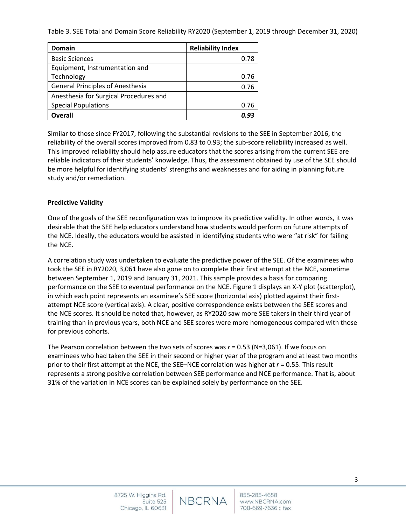Table 3. SEE Total and Domain Score Reliability RY2020 (September 1, 2019 through December 31, 2020)

| Domain                                  | <b>Reliability Index</b> |
|-----------------------------------------|--------------------------|
| <b>Basic Sciences</b>                   | 0.78                     |
| Equipment, Instrumentation and          |                          |
| Technology                              | 0.76                     |
| <b>General Principles of Anesthesia</b> | 0.76                     |
| Anesthesia for Surgical Procedures and  |                          |
| <b>Special Populations</b>              | 0.76                     |
| Overall                                 | ก. 93                    |

Similar to those since FY2017, following the substantial revisions to the SEE in September 2016, the reliability of the overall scores improved from 0.83 to 0.93; the sub-score reliability increased as well. This improved reliability should help assure educators that the scores arising from the current SEE are reliable indicators of their students' knowledge. Thus, the assessment obtained by use of the SEE should be more helpful for identifying students' strengths and weaknesses and for aiding in planning future study and/or remediation.

## **Predictive Validity**

One of the goals of the SEE reconfiguration was to improve its predictive validity. In other words, it was desirable that the SEE help educators understand how students would perform on future attempts of the NCE. Ideally, the educators would be assisted in identifying students who were "at risk" for failing the NCE.

A correlation study was undertaken to evaluate the predictive power of the SEE. Of the examinees who took the SEE in RY2020, 3,061 have also gone on to complete their first attempt at the NCE, sometime between September 1, 2019 and January 31, 2021. This sample provides a basis for comparing performance on the SEE to eventual performance on the NCE. Figure 1 displays an X-Y plot (scatterplot), in which each point represents an examinee's SEE score (horizontal axis) plotted against their firstattempt NCE score (vertical axis). A clear, positive correspondence exists between the SEE scores and the NCE scores. It should be noted that, however, as RY2020 saw more SEE takers in their third year of training than in previous years, both NCE and SEE scores were more homogeneous compared with those for previous cohorts.

The Pearson correlation between the two sets of scores was *r* = 0.53 (N=3,061). If we focus on examinees who had taken the SEE in their second or higher year of the program and at least two months prior to their first attempt at the NCE, the SEE–NCE correlation was higher at *r* = 0.55. This result represents a strong positive correlation between SEE performance and NCE performance. That is, about 31% of the variation in NCE scores can be explained solely by performance on the SEE.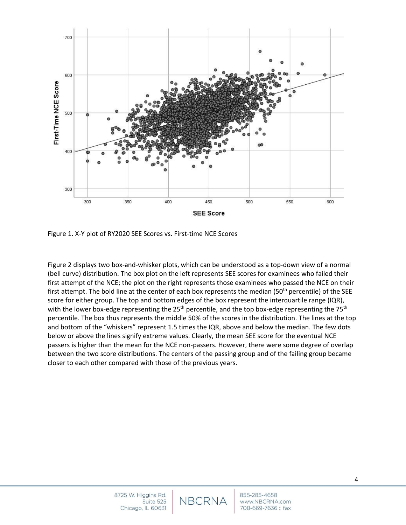

Figure 1. X-Y plot of RY2020 SEE Scores vs. First-time NCE Scores

Figure 2 displays two box-and-whisker plots, which can be understood as a top-down view of a normal (bell curve) distribution. The box plot on the left represents SEE scores for examinees who failed their first attempt of the NCE; the plot on the right represents those examinees who passed the NCE on their first attempt. The bold line at the center of each box represents the median (50<sup>th</sup> percentile) of the SEE score for either group. The top and bottom edges of the box represent the interquartile range (IQR), with the lower box-edge representing the  $25<sup>th</sup>$  percentile, and the top box-edge representing the  $75<sup>th</sup>$ percentile. The box thus represents the middle 50% of the scores in the distribution. The lines at the top and bottom of the "whiskers" represent 1.5 times the IQR, above and below the median. The few dots below or above the lines signify extreme values. Clearly, the mean SEE score for the eventual NCE passers is higher than the mean for the NCE non-passers. However, there were some degree of overlap between the two score distributions. The centers of the passing group and of the failing group became closer to each other compared with those of the previous years.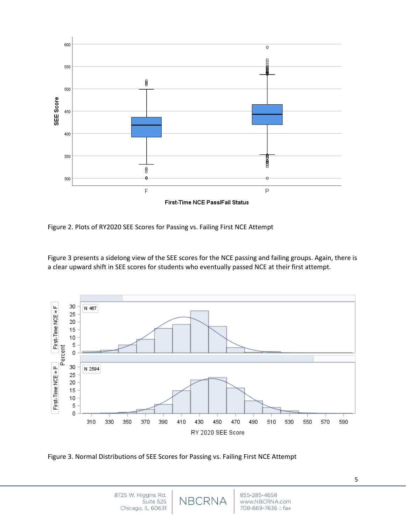

Figure 2. Plots of RY2020 SEE Scores for Passing vs. Failing First NCE Attempt

Figure 3 presents a sidelong view of the SEE scores for the NCE passing and failing groups. Again, there is a clear upward shift in SEE scores for students who eventually passed NCE at their first attempt.



Figure 3. Normal Distributions of SEE Scores for Passing vs. Failing First NCE Attempt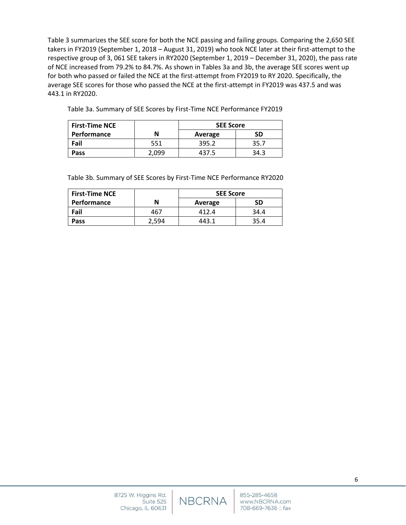Table 3 summarizes the SEE score for both the NCE passing and failing groups. Comparing the 2,650 SEE takers in FY2019 (September 1, 2018 – August 31, 2019) who took NCE later at their first-attempt to the respective group of 3, 061 SEE takers in RY2020 (September 1, 2019 – December 31, 2020), the pass rate of NCE increased from 79.2% to 84.7%. As shown in Tables 3a and 3b, the average SEE scores went up for both who passed or failed the NCE at the first-attempt from FY2019 to RY 2020. Specifically, the average SEE scores for those who passed the NCE at the first-attempt in FY2019 was 437.5 and was 443.1 in RY2020.

| Table 3a. Summary of SEE Scores by First-Time NCE Performance FY2019 |  |  |
|----------------------------------------------------------------------|--|--|
|                                                                      |  |  |
|                                                                      |  |  |

| <b>First-Time NCE</b> |       | <b>SEE Score</b> |      |  |
|-----------------------|-------|------------------|------|--|
| <b>Performance</b>    | N     | Average          | SD   |  |
| Fail                  | 551   | 395.2            | 35.7 |  |
| Pass                  | 2.099 | 437.5            | 34.3 |  |

Table 3b. Summary of SEE Scores by First-Time NCE Performance RY2020

| <b>First-Time NCE</b> |       | <b>SEE Score</b> |      |
|-----------------------|-------|------------------|------|
| <b>Performance</b>    |       | Average          | SD   |
| Fail                  | 467   | 412.4            | 34.4 |
| Pass                  | . 594 | 443.1            | 35.4 |

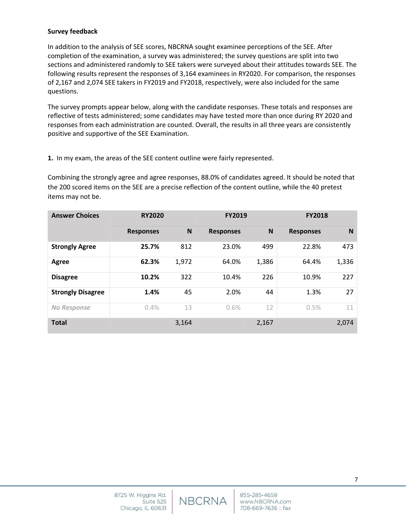### **Survey feedback**

In addition to the analysis of SEE scores, NBCRNA sought examinee perceptions of the SEE. After completion of the examination, a survey was administered; the survey questions are split into two sections and administered randomly to SEE takers were surveyed about their attitudes towards SEE. The following results represent the responses of 3,164 examinees in RY2020. For comparison, the responses of 2,167 and 2,074 SEE takers in FY2019 and FY2018, respectively, were also included for the same questions.

The survey prompts appear below, along with the candidate responses. These totals and responses are reflective of tests administered; some candidates may have tested more than once during RY 2020 and responses from each administration are counted. Overall, the results in all three years are consistently positive and supportive of the SEE Examination.

**1.** In my exam, the areas of the SEE content outline were fairly represented.

Combining the strongly agree and agree responses, 88.0% of candidates agreed. It should be noted that the 200 scored items on the SEE are a precise reflection of the content outline, while the 40 pretest items may not be.

| <b>Answer Choices</b>    | <b>RY2020</b>    |       | <b>FY2019</b>    |       | <b>FY2018</b>    |       |
|--------------------------|------------------|-------|------------------|-------|------------------|-------|
|                          | <b>Responses</b> | N     | <b>Responses</b> | N     | <b>Responses</b> | N     |
| <b>Strongly Agree</b>    | 25.7%            | 812   | 23.0%            | 499   | 22.8%            | 473   |
| Agree                    | 62.3%            | 1,972 | 64.0%            | 1,386 | 64.4%            | 1,336 |
| <b>Disagree</b>          | 10.2%            | 322   | 10.4%            | 226   | 10.9%            | 227   |
| <b>Strongly Disagree</b> | 1.4%             | 45    | 2.0%             | 44    | 1.3%             | 27    |
| <b>No Response</b>       | 0.4%             | 13    | 0.6%             | 12    | 0.5%             | 11    |
| <b>Total</b>             |                  | 3,164 |                  | 2,167 |                  | 2,074 |

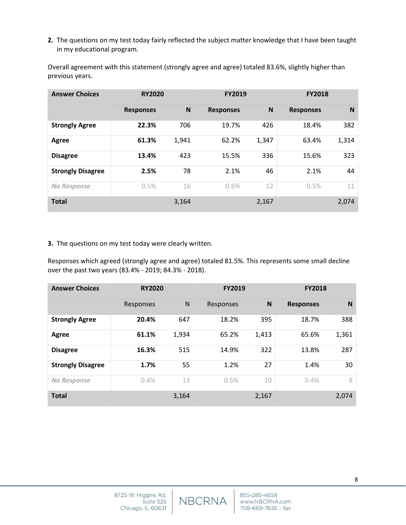**2.** The questions on my test today fairly reflected the subject matter knowledge that I have been taught in my educational program.

Overall agreement with this statement (strongly agree and agree) totaled 83.6%, slightly higher than previous years.

| <b>Answer Choices</b>    | <b>RY2020</b>    |       | <b>FY2019</b>    |          | <b>FY2018</b>    |       |
|--------------------------|------------------|-------|------------------|----------|------------------|-------|
|                          | <b>Responses</b> | N     | <b>Responses</b> | <b>N</b> | <b>Responses</b> | N     |
| <b>Strongly Agree</b>    | 22.3%            | 706   | 19.7%            | 426      | 18.4%            | 382   |
| Agree                    | 61.3%            | 1,941 | 62.2%            | 1,347    | 63.4%            | 1,314 |
| <b>Disagree</b>          | 13.4%            | 423   | 15.5%            | 336      | 15.6%            | 323   |
| <b>Strongly Disagree</b> | 2.5%             | 78    | 2.1%             | 46       | 2.1%             | 44    |
| No Response              | 0.5%             | 16    | 0.6%             | 12       | 0.5%             | 11    |
| <b>Total</b>             |                  | 3,164 |                  | 2,167    |                  | 2,074 |

#### **3.** The questions on my test today were clearly written.

Responses which agreed (strongly agree and agree) totaled 81.5%. This represents some small decline over the past two years (83.4% - 2019; 84.3% - 2018).

| <b>Answer Choices</b>    | <b>RY2020</b> |       | <b>FY2019</b> |       | <b>FY2018</b>    |       |
|--------------------------|---------------|-------|---------------|-------|------------------|-------|
|                          | Responses     | N     | Responses     | N     | <b>Responses</b> | N     |
| <b>Strongly Agree</b>    | 20.4%         | 647   | 18.2%         | 395   | 18.7%            | 388   |
| Agree                    | 61.1%         | 1,934 | 65.2%         | 1,413 | 65.6%            | 1,361 |
| <b>Disagree</b>          | 16.3%         | 515   | 14.9%         | 322   | 13.8%            | 287   |
| <b>Strongly Disagree</b> | 1.7%          | 55    | 1.2%          | 27    | 1.4%             | 30    |
| No Response              | 0.4%          | 13    | 0.5%          | 10    | 0.4%             | 8     |
| <b>Total</b>             |               | 3,164 |               | 2,167 |                  | 2,074 |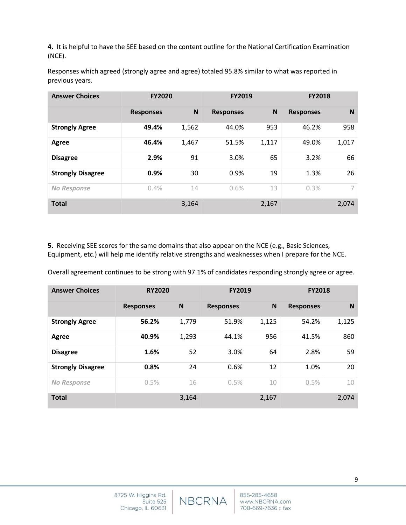**4.** It is helpful to have the SEE based on the content outline for the National Certification Examination (NCE).

Responses which agreed (strongly agree and agree) totaled 95.8% similar to what was reported in previous years.

| <b>Answer Choices</b>    | <b>FY2020</b>    |       | <b>FY2019</b>    |       | <b>FY2018</b>    |       |
|--------------------------|------------------|-------|------------------|-------|------------------|-------|
|                          | <b>Responses</b> | N     | <b>Responses</b> | N     | <b>Responses</b> | N     |
| <b>Strongly Agree</b>    | 49.4%            | 1,562 | 44.0%            | 953   | 46.2%            | 958   |
| Agree                    | 46.4%            | 1,467 | 51.5%            | 1,117 | 49.0%            | 1,017 |
| <b>Disagree</b>          | 2.9%             | 91    | 3.0%             | 65    | 3.2%             | 66    |
| <b>Strongly Disagree</b> | 0.9%             | 30    | 0.9%             | 19    | 1.3%             | 26    |
| <b>No Response</b>       | 0.4%             | 14    | 0.6%             | 13    | 0.3%             | 7     |
| <b>Total</b>             |                  | 3,164 |                  | 2,167 |                  | 2,074 |

**5.** Receiving SEE scores for the same domains that also appear on the NCE (e.g., Basic Sciences, Equipment, etc.) will help me identify relative strengths and weaknesses when I prepare for the NCE.

Overall agreement continues to be strong with 97.1% of candidates responding strongly agree or agree.

| <b>Answer Choices</b>    | <b>RY2020</b>    |       | <b>FY2019</b>    |              | <b>FY2018</b>    |       |
|--------------------------|------------------|-------|------------------|--------------|------------------|-------|
|                          | <b>Responses</b> | N     | <b>Responses</b> | $\mathsf{N}$ | <b>Responses</b> | N     |
| <b>Strongly Agree</b>    | 56.2%            | 1,779 | 51.9%            | 1,125        | 54.2%            | 1,125 |
| Agree                    | 40.9%            | 1,293 | 44.1%            | 956          | 41.5%            | 860   |
| <b>Disagree</b>          | 1.6%             | 52    | 3.0%             | 64           | 2.8%             | 59    |
| <b>Strongly Disagree</b> | 0.8%             | 24    | 0.6%             | 12           | 1.0%             | 20    |
| No Response              | 0.5%             | 16    | 0.5%             | 10           | 0.5%             | 10    |
| <b>Total</b>             |                  | 3,164 |                  | 2,167        |                  | 2,074 |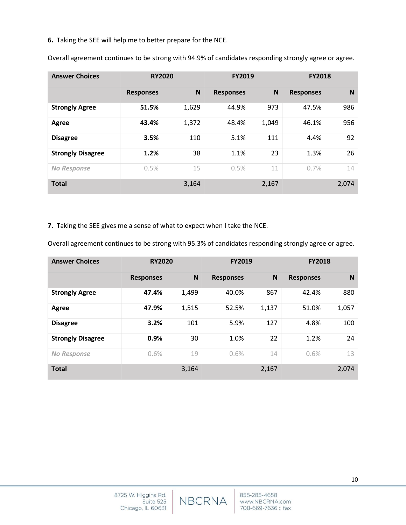**6.** Taking the SEE will help me to better prepare for the NCE.

| <b>Answer Choices</b>    | <b>RY2020</b>    |       | <b>FY2019</b>    |       | <b>FY2018</b>    |       |
|--------------------------|------------------|-------|------------------|-------|------------------|-------|
|                          | <b>Responses</b> | N     | <b>Responses</b> | N     | <b>Responses</b> | N     |
| <b>Strongly Agree</b>    | 51.5%            | 1,629 | 44.9%            | 973   | 47.5%            | 986   |
| Agree                    | 43.4%            | 1,372 | 48.4%            | 1,049 | 46.1%            | 956   |
| <b>Disagree</b>          | 3.5%             | 110   | 5.1%             | 111   | 4.4%             | 92    |
| <b>Strongly Disagree</b> | 1.2%             | 38    | 1.1%             | 23    | 1.3%             | 26    |
| <b>No Response</b>       | 0.5%             | 15    | 0.5%             | 11    | 0.7%             | 14    |
| <b>Total</b>             |                  | 3,164 |                  | 2,167 |                  | 2,074 |

Overall agreement continues to be strong with 94.9% of candidates responding strongly agree or agree.

**7.** Taking the SEE gives me a sense of what to expect when I take the NCE.

Overall agreement continues to be strong with 95.3% of candidates responding strongly agree or agree.

| <b>Answer Choices</b>    | <b>RY2020</b>    |       | <b>FY2019</b>    |       | <b>FY2018</b>    |       |
|--------------------------|------------------|-------|------------------|-------|------------------|-------|
|                          | <b>Responses</b> | N     | <b>Responses</b> | N     | <b>Responses</b> | N     |
| <b>Strongly Agree</b>    | 47.4%            | 1,499 | 40.0%            | 867   | 42.4%            | 880   |
| Agree                    | 47.9%            | 1,515 | 52.5%            | 1,137 | 51.0%            | 1,057 |
| <b>Disagree</b>          | 3.2%             | 101   | 5.9%             | 127   | 4.8%             | 100   |
| <b>Strongly Disagree</b> | 0.9%             | 30    | 1.0%             | 22    | 1.2%             | 24    |
| <b>No Response</b>       | 0.6%             | 19    | 0.6%             | 14    | 0.6%             | 13    |
| <b>Total</b>             |                  | 3,164 |                  | 2,167 |                  | 2,074 |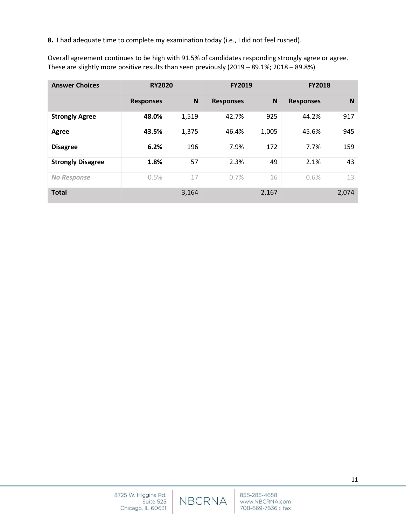**8.** I had adequate time to complete my examination today (i.e., I did not feel rushed).

Overall agreement continues to be high with 91.5% of candidates responding strongly agree or agree. These are slightly more positive results than seen previously (2019 – 89.1%; 2018 – 89.8%)

| <b>Answer Choices</b>    | <b>RY2020</b>    |       | <b>FY2019</b>    |       | <b>FY2018</b>    |       |
|--------------------------|------------------|-------|------------------|-------|------------------|-------|
|                          | <b>Responses</b> | N     | <b>Responses</b> | N     | <b>Responses</b> | N     |
| <b>Strongly Agree</b>    | 48.0%            | 1,519 | 42.7%            | 925   | 44.2%            | 917   |
| Agree                    | 43.5%            | 1,375 | 46.4%            | 1,005 | 45.6%            | 945   |
| <b>Disagree</b>          | 6.2%             | 196   | 7.9%             | 172   | 7.7%             | 159   |
| <b>Strongly Disagree</b> | 1.8%             | 57    | 2.3%             | 49    | 2.1%             | 43    |
| No Response              | 0.5%             | 17    | 0.7%             | 16    | 0.6%             | 13    |
| <b>Total</b>             |                  | 3,164 |                  | 2,167 |                  | 2,074 |